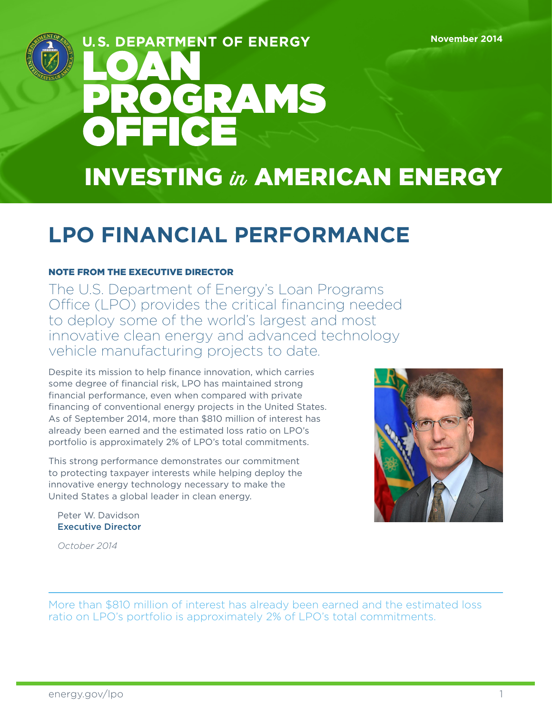

# **U.S. DEPARTMENT OF ENERGY** OGRAMS OFFICE INVESTING in AMERICAN ENERGY

# **LPO FINANCIAL PERFORMANCE**

#### NOTE FROM THE EXECUTIVE DIRECTOR

The U.S. Department of Energy's Loan Programs Office (LPO) provides the critical financing needed to deploy some of the world's largest and most innovative clean energy and advanced technology vehicle manufacturing projects to date.

Despite its mission to help finance innovation, which carries some degree of financial risk, LPO has maintained strong financial performance, even when compared with private financing of conventional energy projects in the United States. As of September 2014, more than \$810 million of interest has already been earned and the estimated loss ratio on LPO's portfolio is approximately 2% of LPO's total commitments.

This strong performance demonstrates our commitment to protecting taxpayer interests while helping deploy the innovative energy technology necessary to make the United States a global leader in clean energy.



Peter W. Davidson Executive Director

*October 2014*

More than \$810 million of interest has already been earned and the estimated loss ratio on LPO's portfolio is approximately 2% of LPO's total commitments.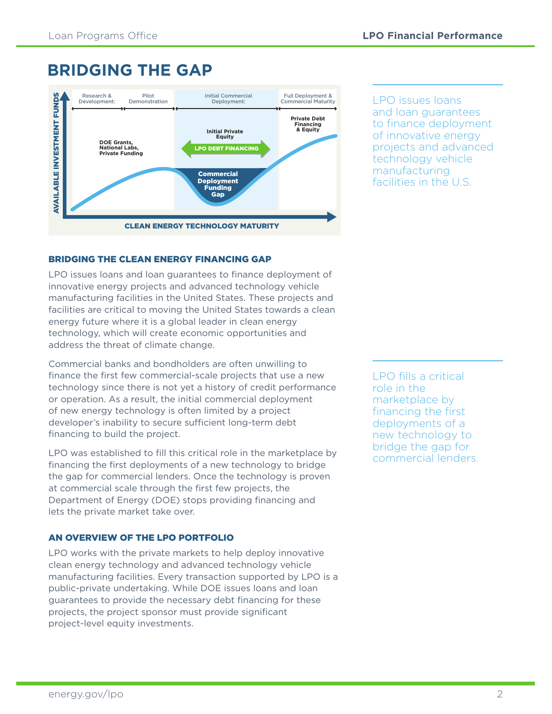### **BRIDGING THE GAP**



LPO issues loans and loan guarantees to finance deployment of innovative energy projects and advanced technology vehicle manufacturing facilities in the U.S.

#### BRIDGING THE CLEAN ENERGY FINANCING GAP

LPO issues loans and loan guarantees to finance deployment of innovative energy projects and advanced technology vehicle manufacturing facilities in the United States. These projects and facilities are critical to moving the United States towards a clean energy future where it is a global leader in clean energy technology, which will create economic opportunities and address the threat of climate change.

Commercial banks and bondholders are often unwilling to finance the first few commercial-scale projects that use a new technology since there is not yet a history of credit performance or operation. As a result, the initial commercial deployment of new energy technology is often limited by a project developer's inability to secure sufficient long-term debt financing to build the project.

LPO was established to fill this critical role in the marketplace by financing the first deployments of a new technology to bridge the gap for commercial lenders. Once the technology is proven at commercial scale through the first few projects, the Department of Energy (DOE) stops providing financing and lets the private market take over.

#### AN OVERVIEW OF THE LPO PORTFOLIO

LPO works with the private markets to help deploy innovative clean energy technology and advanced technology vehicle manufacturing facilities. Every transaction supported by LPO is a public-private undertaking. While DOE issues loans and loan guarantees to provide the necessary debt financing for these projects, the project sponsor must provide significant project-level equity investments.

LPO fills a critical role in the marketplace by financing the first deployments of a new technology to bridge the gap for commercial lenders.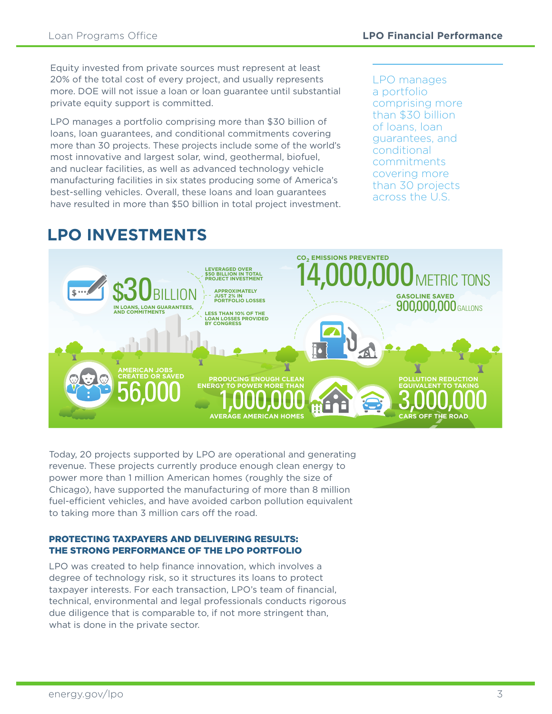Equity invested from private sources must represent at least 20% of the total cost of every project, and usually represents more. DOE will not issue a loan or loan guarantee until substantial private equity support is committed.

LPO manages a portfolio comprising more than \$30 billion of loans, loan guarantees, and conditional commitments covering more than 30 projects. These projects include some of the world's most innovative and largest solar, wind, geothermal, biofuel, and nuclear facilities, as well as advanced technology vehicle manufacturing facilities in six states producing some of America's best-selling vehicles. Overall, these loans and loan guarantees have resulted in more than \$50 billion in total project investment.

LPO manages a portfolio comprising more than \$30 billion of loans, loan guarantees, and conditional commitments covering more than 30 projects across the U.S.

## **LPO INVESTMENTS**



Today, 20 projects supported by LPO are operational and generating revenue. These projects currently produce enough clean energy to power more than 1 million American homes (roughly the size of Chicago), have supported the manufacturing of more than 8 million fuel-efficient vehicles, and have avoided carbon pollution equivalent to taking more than 3 million cars off the road.

#### PROTECTING TAXPAYERS AND DELIVERING RESULTS: THE STRONG PERFORMANCE OF THE LPO PORTFOLIO

LPO was created to help finance innovation, which involves a degree of technology risk, so it structures its loans to protect taxpayer interests. For each transaction, LPO's team of financial, technical, environmental and legal professionals conducts rigorous due diligence that is comparable to, if not more stringent than, what is done in the private sector.